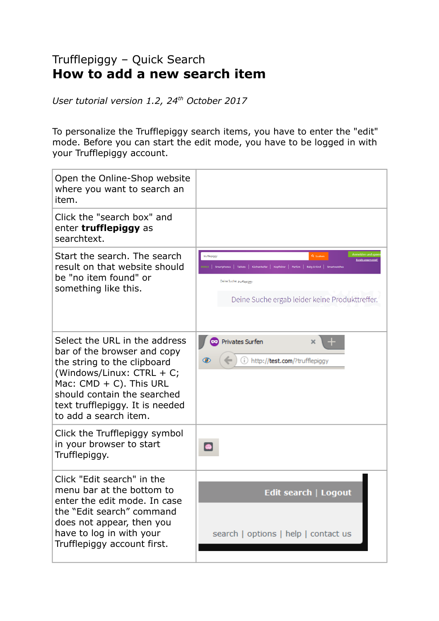## Trufflepiggy – Quick Search **How to add a new search item**

*User tutorial version 1.2, 24th October 2017*

To personalize the Trufflepiggy search items, you have to enter the "edit" mode. Before you can start the edit mode, you have to be logged in with your Trufflepiggy account.

| Open the Online-Shop website<br>where you want to search an<br>item.                                                                                                                                                                              |                                                                                                                                                                                                                           |
|---------------------------------------------------------------------------------------------------------------------------------------------------------------------------------------------------------------------------------------------------|---------------------------------------------------------------------------------------------------------------------------------------------------------------------------------------------------------------------------|
| Click the "search box" and<br>enter trufflepiggy as<br>searchtext.                                                                                                                                                                                |                                                                                                                                                                                                                           |
| Start the search. The search<br>result on that website should<br>be "no item found" or<br>something like this.                                                                                                                                    | Anmelden und spa<br>trufflepiggy<br><b>Bereits angemeldet</b><br>Smartphones   Tablets   Küchenhelfer   Kopfhörer   Parfüm   Baby & Kind  <br>Deine Suche: trufflepiggy<br>Deine Suche ergab leider keine Produkttreffer. |
| Select the URL in the address<br>bar of the browser and copy<br>the string to the clipboard<br>(Windows/Linux: CTRL + C;<br>Mac: $CMD + C$ ). This URL<br>should contain the searched<br>text trufflepiggy. It is needed<br>to add a search item. | Privates Surfen<br>http://test.com/?trufflepiggy                                                                                                                                                                          |
| Click the Trufflepiggy symbol<br>in your browser to start<br>Trufflepiggy.                                                                                                                                                                        |                                                                                                                                                                                                                           |
| Click "Edit search" in the<br>menu bar at the bottom to<br>enter the edit mode. In case<br>the "Edit search" command<br>does not appear, then you<br>have to log in with your<br>Trufflepiggy account first.                                      | Edit search   Logout<br>search   options   help   contact us                                                                                                                                                              |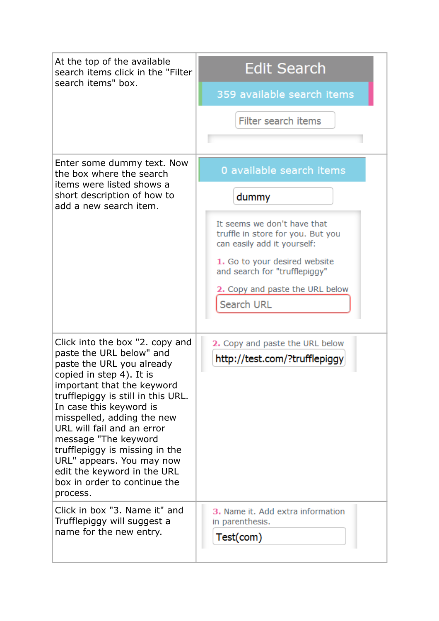| At the top of the available<br>search items click in the "Filter<br>search items" box.                                                                                                                                                                                                                                                                                                                                                            | Edit Search                                                                                     |
|---------------------------------------------------------------------------------------------------------------------------------------------------------------------------------------------------------------------------------------------------------------------------------------------------------------------------------------------------------------------------------------------------------------------------------------------------|-------------------------------------------------------------------------------------------------|
|                                                                                                                                                                                                                                                                                                                                                                                                                                                   | 359 available search items                                                                      |
|                                                                                                                                                                                                                                                                                                                                                                                                                                                   | Filter search items                                                                             |
|                                                                                                                                                                                                                                                                                                                                                                                                                                                   |                                                                                                 |
| Enter some dummy text. Now<br>the box where the search<br>items were listed shows a<br>short description of how to<br>add a new search item.                                                                                                                                                                                                                                                                                                      | 0 available search items                                                                        |
|                                                                                                                                                                                                                                                                                                                                                                                                                                                   | dummy                                                                                           |
|                                                                                                                                                                                                                                                                                                                                                                                                                                                   | It seems we don't have that<br>truffle in store for you. But you<br>can easily add it yourself: |
|                                                                                                                                                                                                                                                                                                                                                                                                                                                   | 1. Go to your desired website<br>and search for "trufflepiggy"                                  |
|                                                                                                                                                                                                                                                                                                                                                                                                                                                   | 2. Copy and paste the URL below<br><b>Search URL</b>                                            |
|                                                                                                                                                                                                                                                                                                                                                                                                                                                   |                                                                                                 |
| Click into the box "2. copy and<br>paste the URL below" and<br>paste the URL you already<br>copied in step 4). It is<br>important that the keyword<br>trufflepiggy is still in this URL.<br>In case this keyword is<br>misspelled, adding the new<br>URL will fail and an error<br>message "The keyword<br>trufflepiggy is missing in the<br>URL" appears. You may now<br>edit the keyword in the URL<br>box in order to continue the<br>process. | 2. Copy and paste the URL below                                                                 |
|                                                                                                                                                                                                                                                                                                                                                                                                                                                   | http://test.com/?trufflepiggy                                                                   |
| Click in box "3. Name it" and<br>Trufflepiggy will suggest a<br>name for the new entry.                                                                                                                                                                                                                                                                                                                                                           | 3. Name it. Add extra information<br>in parenthesis.<br>Test(com)                               |